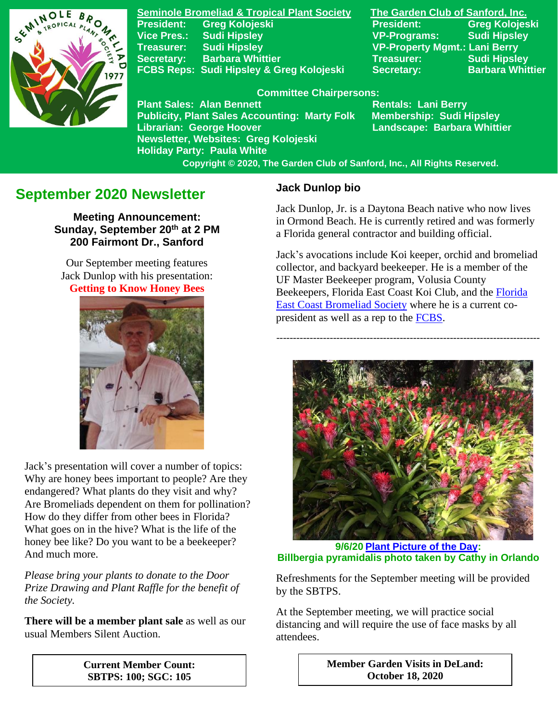

**Seminole Bromeliad & Tropical Plant Society The Garden Club of Sanford, Inc. Vice Pres.: Sudi Hipsley VP-Programs: Sudi Hipsley Treasurer: Sudi Hipsley VP-Property Mgmt.: Lani Berry Secretary:** Barbara Whittier **Network Treasurer:** Sudi Hipsley FCBS Reps: Sudi Hipsley & Greg Kolojeski Secretary: Barbara Whittier

**President: Greg Kolojeski President: Greg Kolojeski** 

#### **Committee Chairpersons:**

Plant Sales: Alan Bennett<br>Publicity, Plant Sales Accounting: Marty Folk Membership: Sudi Hipsley **Publicity, Plant Sales Accounting: Marty Folk Librarian: George Hoover Landscape: Barbara Whittier Newsletter, Websites: Greg Kolojeski Holiday Party: Paula White** 

 **Copyright © 2020, The Garden Club of Sanford, Inc., All Rights Reserved.**

# **September 2020 Newsletter**

**Meeting Announcement: Sunday, September 20th at 2 PM 200 Fairmont Dr., Sanford**

Our September meeting features Jack Dunlop with his presentation: **Getting to Know Honey Bees**



Jack's presentation will cover a number of topics: Why are honey bees important to people? Are they endangered? What plants do they visit and why? Are Bromeliads dependent on them for pollination? How do they differ from other bees in Florida? What goes on in the hive? What is the life of the honey bee like? Do you want to be a beekeeper? And much more.

*Please bring your plants to donate to the Door Prize Drawing and Plant Raffle for the benefit of the Society.*

**There will be a member plant sale** as well as our usual Members Silent Auction.

**Jack Dunlop bio**

Jack Dunlop, Jr. is a Daytona Beach native who now lives in Ormond Beach. He is currently retired and was formerly a Florida general contractor and building official.

Jack's avocations include Koi keeper, orchid and bromeliad collector, and backyard beekeeper. He is a member of the UF Master Beekeeper program, Volusia County Beekeepers, Florida East Coast Koi Club, and the [Florida](https://www.facebook.com/Florida-East-Coast-Bromeliad-Society-922271137869260/)  [East Coast Bromeliad Society](https://www.facebook.com/Florida-East-Coast-Bromeliad-Society-922271137869260/) where he is a current copresident as well as a rep to the [FCBS.](https://www.facebook.com/FloridaCouncilofBromeliadSocieties)

-------------------------------------------------------------------------------



**9/6/20 [Plant Picture of the Day:](https://www.facebook.com/SeminoleBromeliadSociety/) Billbergia pyramidalis photo taken by Cathy in Orlando**

Refreshments for the September meeting will be provided by the SBTPS.

At the September meeting, we will practice social distancing and will require the use of face masks by all attendees.

> **Member Garden Visits in DeLand: October 18, 2020**

**Current Member Count: SBTPS: 100; SGC: 105**